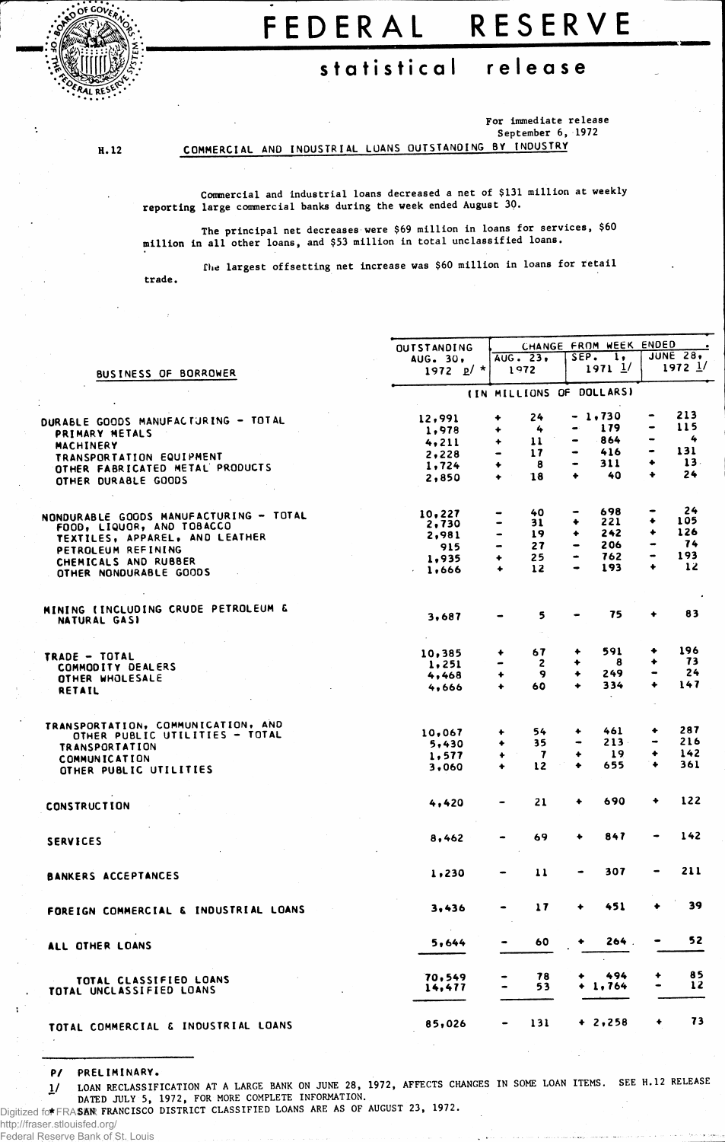

## FEDERA L RESERV E

## **statistica l releas e**

H. 12

For immediate release September 6, 1972

COMMERCIAL AND INDUSTRIAL LOANS OUTSTANDING BY INDUSTRY

Commercial and industrial loans decreased a net of \$131 million at weekly reporting large commercial banks during the week ended August 30.

The principal net decreases were \$69 million in loans for services, \$60 million in all other loans, and \$53 million in total unclassified loans.

trade. the largest offsetting net increase was \$60 million in loans for retail

|                                        | <b>OUTSTANDING</b>       | CHANGE FROM WEEK ENDED       |               |                              |                  |                                                                                                                                                   |                     |  |  |  |
|----------------------------------------|--------------------------|------------------------------|---------------|------------------------------|------------------|---------------------------------------------------------------------------------------------------------------------------------------------------|---------------------|--|--|--|
|                                        | AUG. 30,                 |                              | AUG. 23.      | SEP.                         | $\mathbf{1}$     | <b>JUNE 28.</b><br>$1972$ $1/$                                                                                                                    |                     |  |  |  |
| BUSINESS OF BORROWER                   | 1972 $p'$ *              |                              | 1972          |                              | $1971$ $1/$      |                                                                                                                                                   |                     |  |  |  |
|                                        | (IN MILLIONS OF DOLLARS) |                              |               |                              |                  |                                                                                                                                                   |                     |  |  |  |
|                                        |                          | ۰                            | 24            |                              | - 1,730          | -                                                                                                                                                 | 213                 |  |  |  |
| DURABLE GOODS MANUFACTURING - TOTAL    | 12,991<br>1,978          | ۰                            | 4             | ۰                            | 179              |                                                                                                                                                   | 115                 |  |  |  |
| PRIMARY METALS                         |                          | ٠                            | 11            |                              | 864              | $\overline{\phantom{0}}$                                                                                                                          | 4                   |  |  |  |
| <b>MACHINERY</b>                       | 4,211                    | $\qquad \qquad \blacksquare$ | 17            | $\bullet$                    | 416              | ٠                                                                                                                                                 | 131                 |  |  |  |
| TRANSPORTATION EQUIPMENT               | 2,228                    |                              | 8             |                              | 311              | ۰                                                                                                                                                 | $13-$               |  |  |  |
| OTHER FABRICATED METAL PRODUCTS        | 1,724                    | ٠                            |               | ٠                            | 40               | ٠                                                                                                                                                 | 24                  |  |  |  |
| OTHER DURABLE GOODS                    | 2,850                    | ٠                            | 18            |                              |                  |                                                                                                                                                   |                     |  |  |  |
|                                        | 10,227                   |                              | 40            |                              | 698              |                                                                                                                                                   | 24                  |  |  |  |
| NONDURABLE GOODS MANUFACTURING - TOTAL | 2,730                    | $\bullet$                    | 31            | ۰                            | 221              | ۰                                                                                                                                                 | 105                 |  |  |  |
| FOOD, LIQUOR, AND TOBACCO              | 2,981                    | $\hbox{\small -}$            | 19            | ٠                            | 242              | ۰                                                                                                                                                 | 126                 |  |  |  |
| <b>TEXTILES, APPAREL, AND LEATHER</b>  | 915                      | $\blacksquare$               | 27            | $\qquad \qquad \blacksquare$ | 206              | $\bullet$                                                                                                                                         | 74                  |  |  |  |
| PETROLEUM REFINING                     | 1,935                    | ۰                            | 25            | $\bullet$                    | 762              | $\hskip1.6pt\hskip1.6pt\hskip1.6pt\hskip1.6pt\hskip1.6pt\hskip1.6pt\hskip1.6pt\hskip1.6pt\hskip1.6pt\hskip1.6pt\hskip1.6pt\hskip1.6pt\hskip1.6pt$ | 193                 |  |  |  |
| CHEMICALS AND RUBBER                   |                          | $\ddotmark$                  | 12            |                              | 193              | $\ddot{\phantom{1}}$                                                                                                                              | 12                  |  |  |  |
| OTHER NONDURABLE GOODS                 | 1,666                    |                              |               |                              |                  |                                                                                                                                                   |                     |  |  |  |
| MINING (INCLUDING CRUDE PETROLEUM &    |                          |                              |               |                              |                  |                                                                                                                                                   |                     |  |  |  |
| NATURAL GASI                           | 3,687                    |                              | 5             |                              | 75               | ۰                                                                                                                                                 | 83                  |  |  |  |
|                                        |                          |                              | 67            | ۰                            | 591              | ٠                                                                                                                                                 | 196                 |  |  |  |
| TRADE - TOTAL                          | 10,385                   | ۰<br>-                       | $\mathbf{2}$  | ۰                            | 8                | ۰                                                                                                                                                 | 73                  |  |  |  |
| COMMODITY DEALERS                      | 1,251                    | ۰                            | 9             | ٠                            | 249              | $\qquad \qquad \blacksquare$                                                                                                                      | 24                  |  |  |  |
| OTHER WHOLESALE                        | 4,468                    |                              |               | ۰                            | 334              | ۰                                                                                                                                                 | 147                 |  |  |  |
| <b>RETAIL</b>                          | 4,666                    | ٠                            | 60            |                              |                  |                                                                                                                                                   |                     |  |  |  |
| TRANSPORTATION, COMMUNICATION, AND     |                          |                              |               |                              |                  |                                                                                                                                                   |                     |  |  |  |
| OTHER PUBLIC UTILITIES - TOTAL         | 10,067                   | ۰                            | 54            |                              | 461              |                                                                                                                                                   | 287                 |  |  |  |
| <b>TRANSPORTATION</b>                  | 5,430                    | ٠                            | 35            | $\qquad \qquad \blacksquare$ | $213 -$          | $\qquad \qquad \blacksquare$                                                                                                                      | 216                 |  |  |  |
| <b>COMMUNICATION</b>                   | 1,577                    | ۰                            | -7            | ۰                            | 19               | ٠                                                                                                                                                 | 142                 |  |  |  |
| OTHER PUBLIC UTILITIES                 | 3,060                    | $\ddotmark$                  | 12            | ۰                            | 655              | ٠                                                                                                                                                 | 361                 |  |  |  |
| <b>CONSTRUCTION</b>                    | 4,420                    |                              | 21            | ٠                            | 690              | ۰                                                                                                                                                 | 122                 |  |  |  |
|                                        |                          |                              |               |                              |                  |                                                                                                                                                   |                     |  |  |  |
| <b>SERVICES</b>                        | 8,462                    |                              | 69            |                              | 847              |                                                                                                                                                   | 142                 |  |  |  |
|                                        | 1,230                    |                              | 11            |                              | 307              | $\bullet$                                                                                                                                         | 211                 |  |  |  |
| <b>BANKERS ACCEPTANCES</b>             |                          |                              |               |                              |                  |                                                                                                                                                   |                     |  |  |  |
| FOREIGN COMMERCIAL & INDUSTRIAL LOANS  | 3,436                    |                              | $\mathbf{17}$ |                              | -451             |                                                                                                                                                   | 39                  |  |  |  |
| ALL OTHER LOANS                        | 5,644                    |                              | 60            | ۰                            | 264.             |                                                                                                                                                   | 52                  |  |  |  |
|                                        |                          |                              |               |                              |                  |                                                                                                                                                   |                     |  |  |  |
| TOTAL CLASSIFIED LOANS                 | 70,549                   |                              | 78<br>53      |                              | 494<br>$+ 1,764$ | $\qquad \qquad \blacksquare$                                                                                                                      | 85<br>$\mathbf{12}$ |  |  |  |
| TOTAL UNCLASSIFIED LOANS               | 14,477                   |                              |               |                              |                  |                                                                                                                                                   |                     |  |  |  |
| TOTAL COMMERCIAL & INDUSTRIAL LOANS    | 85,026                   |                              | 131           |                              | $+ 2,258$        |                                                                                                                                                   | 73                  |  |  |  |

PZ PRELIMINARY.

1/ LOAN RECLASSIFICATION AT A LARGE BANK ON JUNE 28, 1972, AFFECTS CHANGES IN SOME LOAN ITEMS. SEE H.12 RELEASE DATED JULY 5, 1972, FOR MORE COMPLETE INFORMATION.

Digitized for FRASAR FRANCISCO DISTRICT CLASSIFIED LOANS ARE AS OF AUGUST 23, 1972.

http://fraser.stlouisfed.org/ Federal Reserve Bank of St. Louis